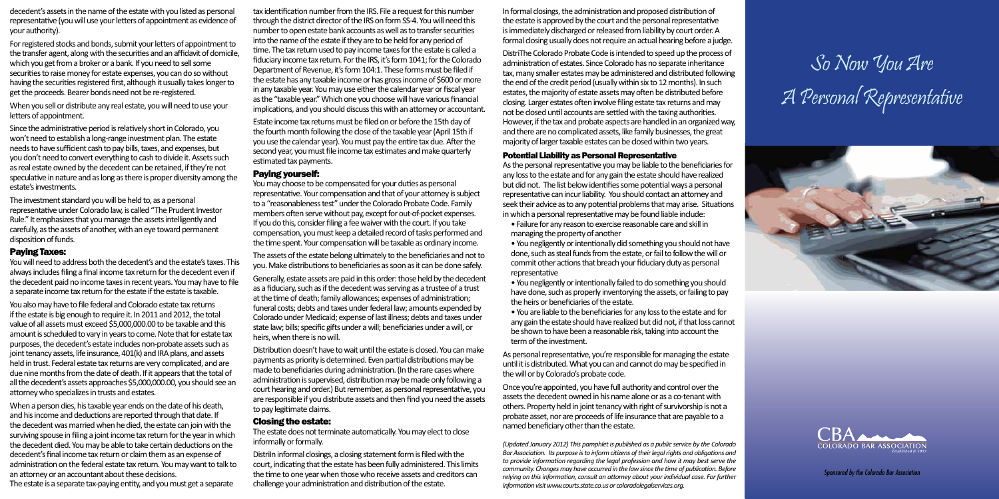decedent's assets in the name of the estate with you listed as personal representative (you will use your letters of appointment as evidence of your authority).

For registered stocks and bonds, submit your letters of appointment to the transfer agent, along with the securities and an affidavit of domicile, which you get from a broker or a bank. If you need to sell some securities to raise money for estate expenses, you can do so without having the securities registered first, although it usually takes longer to get the proceeds. Bearer bonds need not be re-registered.

When you sell or distribute any real estate, you will need to use your letters of appointment.

Since the administrative period is relatively short in Colorado, you won't need to establish a long-range investment plan. The estate needs to have sufficient cash to pay bills, taxes, and expenses, but you don't need to convert everything to cash to divide it. Assets such as real estate owned by the decedent can be retained, if they're not speculative in nature and as long as there is proper diversity among the estate's investments.

The investment standard you will be held to, as a personal representative under Colorado law, is called "The Prudent Investor Rule." It emphasizes that you manage the assets intelligently and carefully, as the assets of another, with an eye toward permanent disposition of funds.

#### Paying Taxes:

You will need to address both the decedent's and the estate's taxes. This always includes filing a final income tax return for the decedent even if the decedent paid no income taxes in recent years. You may have to file a separate income tax return for the estate if the estate is taxable.

You also may have to file federal and Colorado estate tax returns if the estate is big enough to require it. In 2011 and 2012, the total value of all assets must exceed \$5,000,000.00 to be taxable and this amount is scheduled to vary in years to come. Note that for estate tax purposes, the decedent's estate includes non-probate assets such as joint tenancy assets, life insurance, 401(k) and IRA plans, and assets held in trust. Federal estate tax returns are very complicated, and are due nine months from the date of death. If it appears that the total of all the decedent's assets approaches \$5,000,000.00, you should see an attorney who specializes in trusts and estates.

When a person dies, his taxable year ends on the date of his death, and his income and deductions are reported through that date. If the decedent was married when he died, the estate can join with the surviving spouse in filing a joint income tax return for the year in which the decedent died. You may be able to take certain deductions on the decedent's final income tax return or claim them as an expense of administration on the federal estate tax return. You may want to talk to an attorney or an accountant about these decisions.

The estate is a separate tax-paying entity, and you must get a separate

DistriIn informal closings, a closing statement form is filed with the court, indicating that the estate has been fully administered. This limits the time to one year when those who receive assets and creditors can challenge your administration and distribution of the estate.

tax identification number from the IRS. File a request for this number through the district director of the IRS on form SS-4. You will need this number to open estate bank accounts as well as to transfer securities into the name of the estate if they are to be held for any period of time. The tax return used to pay income taxes for the estate is called a fiduciary income tax return. For the IRS, it's form 1041; for the Colorado Department of Revenue, it's form 104:1. These forms must be filed if the estate has any taxable income or has gross income of \$600 or more in any taxable year. You may use either the calendar year or fiscal year as the "taxable year." Which one you choose will have various financial implications, and you should discuss this with an attorney or accountant.

Estate income tax returns must be filed on or before the 15th day of the fourth month following the close of the taxable year (April 15th if you use the calendar year). You must pay the entire tax due. After the second year, you must file income tax estimates and make quarterly estimated tax payments.

#### Paying yourself:

You may choose to be compensated for your duties as personal representative. Your compensation and that of your attorney is subject to a "reasonableness test" under the Colorado Probate Code. Family members often serve without pay, except for out-of-pocket expenses. If you do this, consider filing a fee waiver with the court. If you take compensation, you must keep a detailed record of tasks performed and the time spent. Your compensation will be taxable as ordinary income.

The assets of the estate belong ultimately to the beneficiaries and not to you. Make distributions to beneficiaries as soon as it can be done safely.

Generally, estate assets are paid in this order: those held by the decedent as a fiduciary, such as if the decedent was serving as a trustee of a trust at the time of death; family allowances; expenses of administration; funeral costs; debts and taxes under federal law; amounts expended by Colorado under Medicaid; expense of last illness; debts and taxes under state law; bills; specific gifts under a will; beneficiaries under a will, or heirs, when there is no will.

Distribution doesn't have to wait until the estate is closed. You can make payments as priority is determined. Even partial distributions may be made to beneficiaries during administration. (In the rare cases where administration is supervised, distribution may be made only following a court hearing and order.) But remember, as personal representative, you are responsible if you distribute assets and then find you need the assets to pay legitimate claims.

#### Closing the estate:

The estate does not terminate automatically. You may elect to close informally or formally.

In formal closings, the administration and proposed distribution of the estate is approved by the court and the personal representative is immediately discharged or released from liability by court order. A formal closing usually does not require an actual hearing before a judge.

DistriThe Colorado Probate Code is intended to speed up the process of administration of estates. Since Colorado has no separate inheritance tax, many smaller estates may be administered and distributed following the end of the credit period (usually within six to 12 months). In such estates, the majority of estate assets may often be distributed before closing. Larger estates often involve filing estate tax returns and may not be closed until accounts are settled with the taxing authorities. However, if the tax and probate aspects are handled in an organized way, and there are no complicated assets, like family businesses, the great majority of larger taxable estates can be closed within two years.

#### Potential Liability as Personal Representative

As the personal representative you may be liable to the beneficiaries for any loss to the estate and for any gain the estate should have realized but did not. The list below identifies some potential ways a personal representative can incur liability. You should contact an attorney and seek their advice as to any potential problems that may arise. Situations in which a personal representative may be found liable include:

• Failure for any reason to exercise reasonable care and skill in managing the property of another

• You negligently or intentionally did something you should not have done, such as steal funds from the estate, or fail to follow the will or commit other actions that breach your fiduciary duty as personal representative

• You negligently or intentionally failed to do something you should have done, such as properly inventorying the assets, or failing to pay the heirs or beneficiaries of the estate.

• You are liable to the beneficiaries for any loss to the estate and for any gain the estate should have realized but did not, if that loss cannot be shown to have been a reasonable risk, taking into account the term of the investment.

As personal representative, you're responsible for managing the estate until it is distributed. What you can and cannot do may be specified in the will or by Colorado's probate code.

Once you're appointed, you have full authority and control over the assets the decedent owned in his name alone or as a co-tenant with others. Property held in joint tenancy with right of survivorship is not a probate asset, nor are proceeds of life insurance that are payable to a named beneficiary other than the estate.

*(Updated January 2012) This pamphlet is published as a public service by the Colorado Bar Association. Its purpose is to inform citizens of their legal rights and obligations and to provide information regarding the legal profession and how it may best serve the community. Changes may have occurred in the law since the time of publication. Before relying on this information, consult an attorney about your individual case. For further information visit www.courts.state.co.us or coloradolegalservices.org.*

# So Now You Are A Personal Representative





*Sponsored by the Colorado Bar Association*